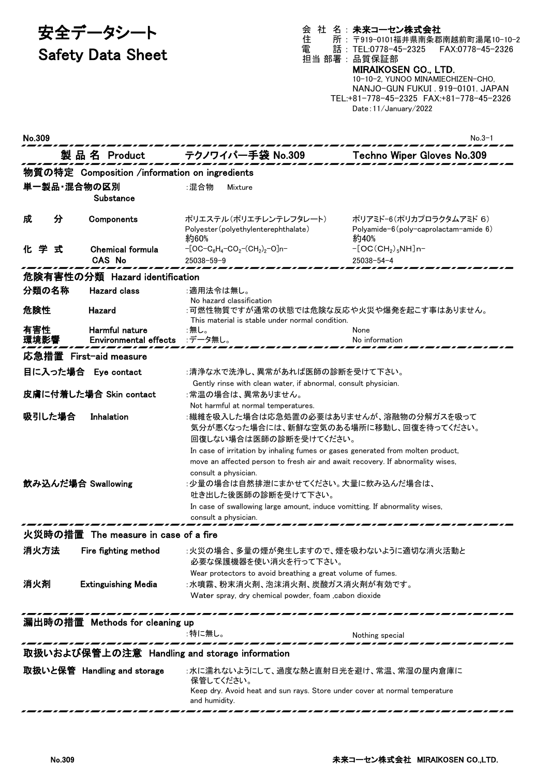# 安全データシート

## Safety Data Sheet

#### 会 社 名 : 未来コーセン株式会社

住 所 : 〒919-0101福井県南条郡南越前町湯尾10-10-2 電 話 : TEL:0778-45-2325 FAX:0778-45-2326 担当 部署 : 品質保証部

## MIRAIKOSEN CO., LTD.

10-10-2, YUNOO MINAMIECHIZEN-CHO, NANJO-GUN FUKUI . 919-0101. JAPAN TEL:+81-778-45-2325 FAX:+81-778-45-2326 Date:11/January/2022

| No.309                                        |                                                |                                                                                                                                                                                                                                                                                                                                                              | No.3-1                                                                          |  |  |
|-----------------------------------------------|------------------------------------------------|--------------------------------------------------------------------------------------------------------------------------------------------------------------------------------------------------------------------------------------------------------------------------------------------------------------------------------------------------------------|---------------------------------------------------------------------------------|--|--|
|                                               | 製品名 Product                                    | テクノワイパー手袋 No.309                                                                                                                                                                                                                                                                                                                                             | Techno Wiper Gloves No.309                                                      |  |  |
|                                               | 物質の特定 Composition /information on ingredients  |                                                                                                                                                                                                                                                                                                                                                              |                                                                                 |  |  |
|                                               | 単一製品・混合物の区別<br>Substance                       | :混合物<br>Mixture                                                                                                                                                                                                                                                                                                                                              |                                                                                 |  |  |
| 分<br>成                                        | Components                                     | ポリエステル(ポリエチレンテレフタレート)<br>Polyester (polyethylenterephthalate)<br>約60%                                                                                                                                                                                                                                                                                        | ポリアミド-6(ポリカプロラクタムアミド 6)<br>Polyamide- $6$ (poly-caprolactam-amide $6$ )<br>約40% |  |  |
| 化学<br>式                                       | <b>Chemical formula</b><br>CAS No              | $-[OC-C_6H_4-CO_2-(CH_2)_2-O]n-$<br>$25038 - 59 - 9$                                                                                                                                                                                                                                                                                                         | $-[OC(CH2)5NH]n-$<br>$25038 - 54 - 4$                                           |  |  |
|                                               | 危険有害性の分類 Hazard identification                 |                                                                                                                                                                                                                                                                                                                                                              |                                                                                 |  |  |
| 分類の名称                                         | <b>Hazard class</b>                            | :適用法令は無し。<br>No hazard classification                                                                                                                                                                                                                                                                                                                        |                                                                                 |  |  |
| 危険性                                           | Hazard                                         | :可燃性物質ですが通常の状態では危険な反応や火災や爆発を起こす事はありません。<br>This material is stable under normal condition.                                                                                                                                                                                                                                                                   |                                                                                 |  |  |
| 有害性<br>環境影響                                   | Harmful nature<br><b>Environmental effects</b> | :無し。<br>:データ無し。                                                                                                                                                                                                                                                                                                                                              | None<br>No information                                                          |  |  |
| 応急措置 First-aid measure                        |                                                |                                                                                                                                                                                                                                                                                                                                                              |                                                                                 |  |  |
|                                               | 目に入った場合 Eye contact                            | :清浄な水で洗浄し、異常があれば医師の診断を受けて下さい。<br>Gently rinse with clean water, if abnormal, consult physician.                                                                                                                                                                                                                                                              |                                                                                 |  |  |
|                                               | 皮膚に付着した場合 Skin contact                         | :常温の場合は、異常ありません。<br>Not harmful at normal temperatures.                                                                                                                                                                                                                                                                                                      |                                                                                 |  |  |
| 吸引した場合                                        | Inhalation                                     | :繊維を吸入した場合は応急処置の必要はありませんが、溶融物の分解ガスを吸って<br>気分が悪くなった場合には、新鮮な空気のある場所に移動し、回復を待ってください。<br>回復しない場合は医師の診断を受けてください。                                                                                                                                                                                                                                                  |                                                                                 |  |  |
|                                               | 飲み込んだ場合 Swallowing                             | In case of irritation by inhaling fumes or gases generated from molten product,<br>move an affected person to fresh air and await recovery. If abnormality wises,<br>consult a physician.<br>:少量の場合は自然排泄にまかせてください。大量に飲み込んだ場合は、<br>吐き出した後医師の診断を受けて下さい。<br>In case of swallowing large amount, induce vomitting. If abnormality wises,<br>consult a physician. |                                                                                 |  |  |
|                                               | 火災時の措置 The measure in case of a fire           |                                                                                                                                                                                                                                                                                                                                                              |                                                                                 |  |  |
| 消火方法                                          | Fire fighting method                           | :火災の場合、多量の煙が発生しますので、煙を吸わないように適切な消火活動と<br>必要な保護機器を使い消火を行って下さい。                                                                                                                                                                                                                                                                                                |                                                                                 |  |  |
| 消火剤                                           | <b>Extinguishing Media</b>                     | Wear protectors to avoid breathing a great volume of fumes.<br>:水噴霧、粉末消火剤、泡沫消火剤、炭酸ガス消火剤が有効です。<br>Water spray, dry chemical powder, foam , cabon dioxide                                                                                                                                                                                                      |                                                                                 |  |  |
| 漏出時の措置 Methods for cleaning up                |                                                |                                                                                                                                                                                                                                                                                                                                                              |                                                                                 |  |  |
|                                               |                                                | :特に無し。                                                                                                                                                                                                                                                                                                                                                       | Nothing special                                                                 |  |  |
| 取扱いおよび保管上の注意 Handling and storage information |                                                |                                                                                                                                                                                                                                                                                                                                                              |                                                                                 |  |  |
|                                               | 取扱いと保管 Handling and storage                    | :水に濡れないようにして、過度な熱と直射日光を避け、常温、常湿の屋内倉庫に<br>保管してください。<br>Keep dry. Avoid heat and sun rays. Store under cover at normal temperature<br>and humidity.                                                                                                                                                                                                            |                                                                                 |  |  |
|                                               |                                                |                                                                                                                                                                                                                                                                                                                                                              |                                                                                 |  |  |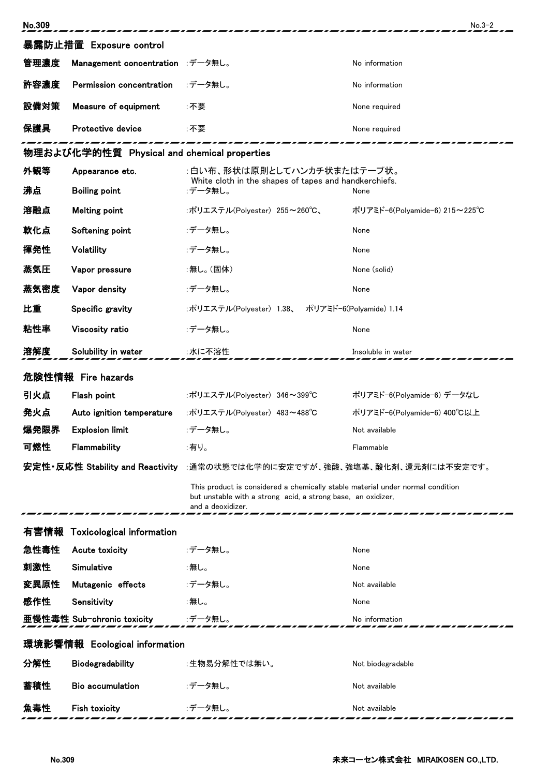| No.309                                      |                                  |                                                                                                                                                                     | $No.3-2$                      |  |  |
|---------------------------------------------|----------------------------------|---------------------------------------------------------------------------------------------------------------------------------------------------------------------|-------------------------------|--|--|
|                                             | 暴露防止措置 Exposure control          |                                                                                                                                                                     |                               |  |  |
| 管理濃度                                        | Management concentration :データ無し。 |                                                                                                                                                                     | No information                |  |  |
| 許容濃度                                        | Permission concentration         | :データ無し。                                                                                                                                                             | No information                |  |  |
| 設備対策                                        | Measure of equipment             | :不要                                                                                                                                                                 | None required                 |  |  |
| 保護具                                         | Protective device                | :不要                                                                                                                                                                 | None required                 |  |  |
| 物理および化学的性質 Physical and chemical properties |                                  |                                                                                                                                                                     |                               |  |  |
| 外観等                                         | Appearance etc.                  | :白い布、形状は原則としてハンカチ状またはテープ状。                                                                                                                                          |                               |  |  |
| 沸点                                          | <b>Boiling point</b>             | White cloth in the shapes of tapes and handkerchiefs.<br>:データ無し。<br>None                                                                                            |                               |  |  |
| 溶融点                                         | <b>Melting point</b>             | :ポリエステル(Polyester) 255~260℃、                                                                                                                                        | ポリアミド-6(Polyamide-6) 215~225℃ |  |  |
| 軟化点                                         | Softening point                  | :データ無し。                                                                                                                                                             | None                          |  |  |
| 揮発性                                         | Volatility                       | :データ無し。                                                                                                                                                             | None                          |  |  |
| 蒸気圧                                         | Vapor pressure                   | :無し。(固体)                                                                                                                                                            | None (solid)                  |  |  |
| 蒸気密度                                        | Vapor density                    | :データ無し。                                                                                                                                                             | None                          |  |  |
| 比重                                          | Specific gravity                 | :ポリエステル(Polyester) 1.38、 ポリアミド-6(Polyamide) 1.14                                                                                                                    |                               |  |  |
| 粘性率                                         | Viscosity ratio                  | :データ無し。                                                                                                                                                             | None                          |  |  |
| 溶解度                                         | Solubility in water              | :水に不溶性                                                                                                                                                              | Insoluble in water            |  |  |
|                                             | 危険性情報 Fire hazards               |                                                                                                                                                                     |                               |  |  |
| 引火点                                         | Flash point                      | :ポリエステル(Polyester) 346~399℃                                                                                                                                         | ポリアミド-6(Polyamide-6) データなし    |  |  |
| 発火点                                         | Auto ignition temperature        | :ポリエステル(Polyester) 483~488℃                                                                                                                                         | ポリアミド-6(Polyamide-6) 400℃以上   |  |  |
| 爆発限界                                        | <b>Explosion limit</b>           | :データ無し。                                                                                                                                                             | Not available                 |  |  |
| 可燃性                                         | Flammability                     | :有り。                                                                                                                                                                | Flammable                     |  |  |
|                                             | 安定性·反応性 Stability and Reactivity | :通常の状態では化学的に安定ですが、強酸、強塩基、酸化剤、還元剤には不安定です。                                                                                                                            |                               |  |  |
|                                             |                                  | This product is considered a chemically stable material under normal condition<br>but unstable with a strong acid, a strong base, an oxidizer,<br>and a deoxidizer. |                               |  |  |
| 有害情報                                        | <b>Toxicological information</b> |                                                                                                                                                                     |                               |  |  |
| 急性毒性                                        | Acute toxicity                   | :データ無し。                                                                                                                                                             | None                          |  |  |
| 刺激性                                         | Simulative                       | :無し。                                                                                                                                                                | None                          |  |  |
| 変異原性                                        | Mutagenic effects                | :データ無し。                                                                                                                                                             | Not available                 |  |  |
| 感作性                                         | Sensitivity                      | :無し。                                                                                                                                                                | None                          |  |  |
|                                             | 亜慢性毒性 Sub-chronic toxicity       | :データ無し。                                                                                                                                                             | No information                |  |  |
| 環境影響情報 Ecological information               |                                  |                                                                                                                                                                     |                               |  |  |
| 分解性                                         | Biodegradability                 | :生物易分解性では無い。                                                                                                                                                        | Not biodegradable             |  |  |
| 蓄積性                                         | <b>Bio accumulation</b>          | :データ無し。                                                                                                                                                             | Not available                 |  |  |
| 魚毒性                                         | Fish toxicity                    | :データ無し。                                                                                                                                                             | Not available                 |  |  |
|                                             |                                  |                                                                                                                                                                     |                               |  |  |